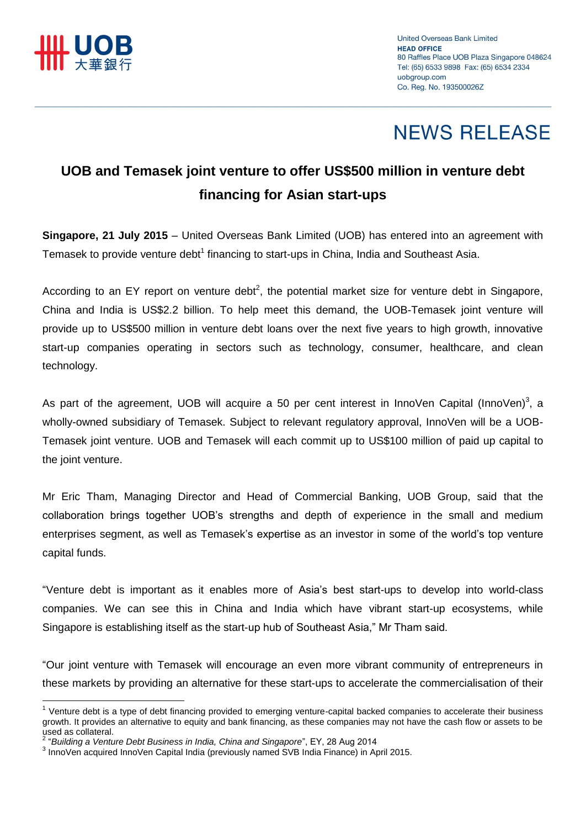

 $\overline{a}$ 

## **NEWS RELEASE**

### **UOB and Temasek joint venture to offer US\$500 million in venture debt financing for Asian start-ups**

**Singapore, 21 July 2015** – United Overseas Bank Limited (UOB) has entered into an agreement with Temasek to provide venture debt<sup>1</sup> financing to start-ups in China, India and Southeast Asia.

According to an EY report on venture debt<sup>2</sup>, the potential market size for venture debt in Singapore, China and India is US\$2.2 billion. To help meet this demand, the UOB-Temasek joint venture will provide up to US\$500 million in venture debt loans over the next five years to high growth, innovative start-up companies operating in sectors such as technology, consumer, healthcare, and clean technology.

As part of the agreement, UOB will acquire a 50 per cent interest in InnoVen Capital (InnoVen)<sup>3</sup>, a wholly-owned subsidiary of Temasek. Subject to relevant regulatory approval, InnoVen will be a UOB-Temasek joint venture. UOB and Temasek will each commit up to US\$100 million of paid up capital to the joint venture.

Mr Eric Tham, Managing Director and Head of Commercial Banking, UOB Group, said that the collaboration brings together UOB's strengths and depth of experience in the small and medium enterprises segment, as well as Temasek's expertise as an investor in some of the world's top venture capital funds.

"Venture debt is important as it enables more of Asia's best start-ups to develop into world-class companies. We can see this in China and India which have vibrant start-up ecosystems, while Singapore is establishing itself as the start-up hub of Southeast Asia," Mr Tham said.

"Our joint venture with Temasek will encourage an even more vibrant community of entrepreneurs in these markets by providing an alternative for these start-ups to accelerate the commercialisation of their

<sup>&</sup>lt;sup>1</sup> Venture debt is a type of debt financing provided to emerging venture-capital backed companies to accelerate their business growth. It provides an alternative to equity and bank financing, as these companies may not have the cash flow or assets to be used as collateral.

<sup>2</sup> "*Building a Venture Debt Business in India, China and Singapore*", EY, 28 Aug 2014

<sup>&</sup>lt;sup>3</sup> InnoVen acquired InnoVen Capital India (previously named SVB India Finance) in April 2015.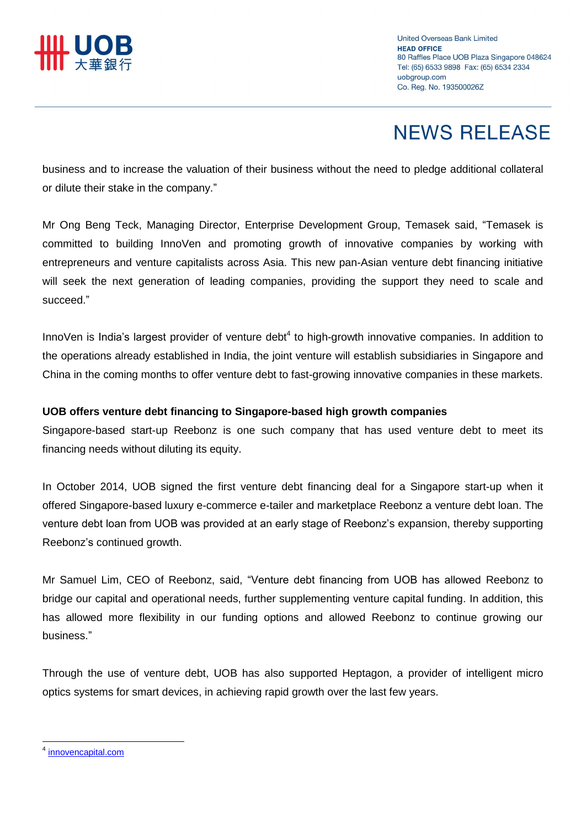

# **NEWS RELEASE**

business and to increase the valuation of their business without the need to pledge additional collateral or dilute their stake in the company."

Mr Ong Beng Teck, Managing Director, Enterprise Development Group, Temasek said, "Temasek is committed to building InnoVen and promoting growth of innovative companies by working with entrepreneurs and venture capitalists across Asia. This new pan-Asian venture debt financing initiative will seek the next generation of leading companies, providing the support they need to scale and succeed."

InnoVen is India's largest provider of venture debt<sup>4</sup> to high-growth innovative companies. In addition to the operations already established in India, the joint venture will establish subsidiaries in Singapore and China in the coming months to offer venture debt to fast-growing innovative companies in these markets.

### **UOB offers venture debt financing to Singapore-based high growth companies**

Singapore-based start-up Reebonz is one such company that has used venture debt to meet its financing needs without diluting its equity.

In October 2014, UOB signed the first venture debt financing deal for a Singapore start-up when it offered Singapore-based luxury e-commerce e-tailer and marketplace Reebonz a venture debt loan. The venture debt loan from UOB was provided at an early stage of Reebonz's expansion, thereby supporting Reebonz's continued growth.

Mr Samuel Lim, CEO of Reebonz, said, "Venture debt financing from UOB has allowed Reebonz to bridge our capital and operational needs, further supplementing venture capital funding. In addition, this has allowed more flexibility in our funding options and allowed Reebonz to continue growing our business."

Through the use of venture debt, UOB has also supported Heptagon, a provider of intelligent micro optics systems for smart devices, in achieving rapid growth over the last few years.

 $\overline{a}$ 

<sup>4</sup> [innovencapital.com](../../AppData/Local/Microsoft/Windows/Temporary%20Internet%20Files/AppData/Local/Microsoft/Windows/Temporary%20Internet%20Files/Content.Outlook/9GTJ1XIF/innovencapital.com)